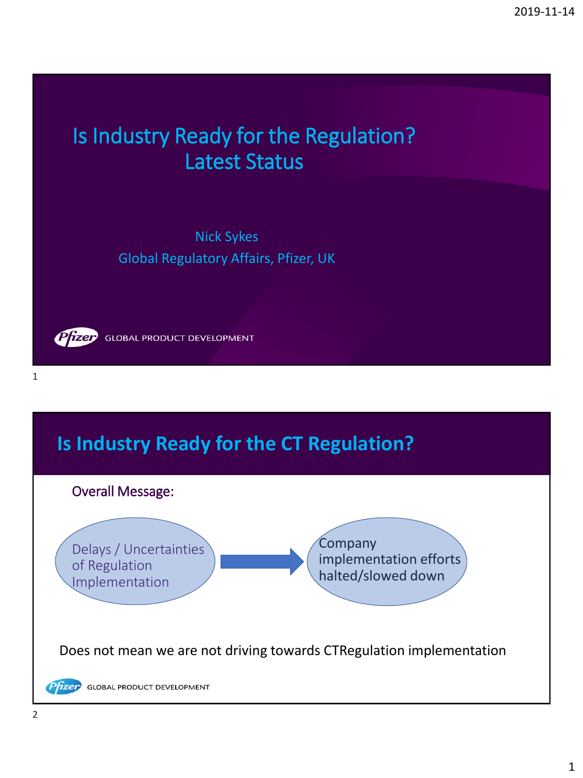# Is Industry Ready for the Regulation? Latest Status

Nick Sykes Global Regulatory Affairs, Pfizer, UK



**GLOBAL PRODUCT DEVELOPMENT** 

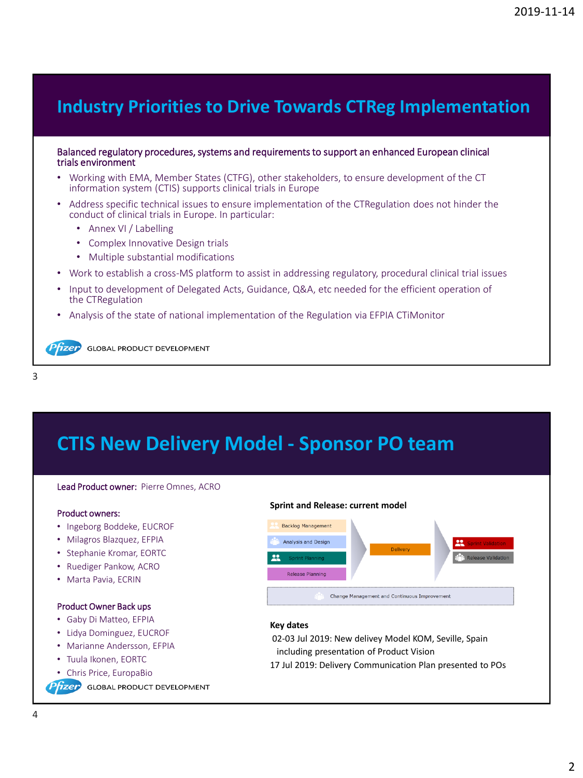### **Industry Priorities to Drive Towards CTReg Implementation**

### Balanced regulatory procedures, systems and requirements to support an enhanced European clinical trials environment

- Working with EMA, Member States (CTFG), other stakeholders, to ensure development of the CT information system (CTIS) supports clinical trials in Europe
- Address specific technical issues to ensure implementation of the CTRegulation does not hinder the conduct of clinical trials in Europe. In particular:
	- Annex VI / Labelling
	- Complex Innovative Design trials
	- Multiple substantial modifications
- Work to establish a cross-MS platform to assist in addressing regulatory, procedural clinical trial issues
- Input to development of Delegated Acts, Guidance, Q&A, etc needed for the efficient operation of the CTRegulation
- Analysis of the state of national implementation of the Regulation via EFPIA CTiMonitor

**fizer** GLOBAL PRODUCT DEVELOPMENT

```
3
```
# **CTIS New Delivery Model - Sponsor PO team**

#### Lead Product owner: Pierre Omnes, ACRO

#### Product owners:

- Ingeborg Boddeke, EUCROF
- Milagros Blazquez, EFPIA
- Stephanie Kromar, EORTC
- Ruediger Pankow, ACRO
- Marta Pavia, ECRIN

#### Product Owner Back ups

- Gaby Di Matteo, EFPIA
- Lidya Dominguez, EUCROF
- Marianne Andersson, EFPIA
- Tuula Ikonen, EORTC
- Chris Price, EuropaBio

**fizer** GLOBAL PRODUCT DEVELOPMENT



| <b>Sprint Planning</b>  | <b>Release Va</b> |
|-------------------------|-------------------|
| <b>Release Planning</b> |                   |

### **Key dates**

02-03 Jul 2019: New delivey Model KOM, Seville, Spain including presentation of Product Vision

17 Jul 2019: Delivery Communication Plan presented to POs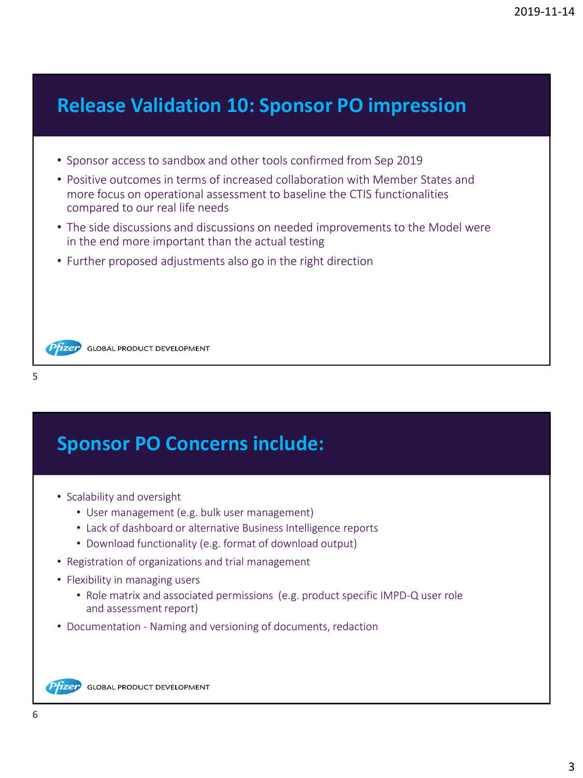## **Release Validation 10: Sponsor PO impression**

- Sponsor access to sandbox and other tools confirmed from Sep 2019
- Positive outcomes in terms of increased collaboration with Member States and more focus on operational assessment to baseline the CTIS functionalities compared to our real life needs
- The side discussions and discussions on needed improvements to the Model were in the end more important than the actual testing
- Further proposed adjustments also go in the right direction

**Pfizer** GLOBAL PRODUCT DEVELOPMENT

```
5
```
# **Sponsor PO Concerns include:**

- Scalability and oversight
	- User management (e.g. bulk user management)
	- Lack of dashboard or alternative Business Intelligence reports
	- Download functionality (e.g. format of download output)
- Registration of organizations and trial management
- Flexibility in managing users
	- Role matrix and associated permissions (e.g. product specific IMPD-Q user role and assessment report)
- Documentation Naming and versioning of documents, redaction

Phzer **GLOBAL PRODUCT DEVELOPMENT**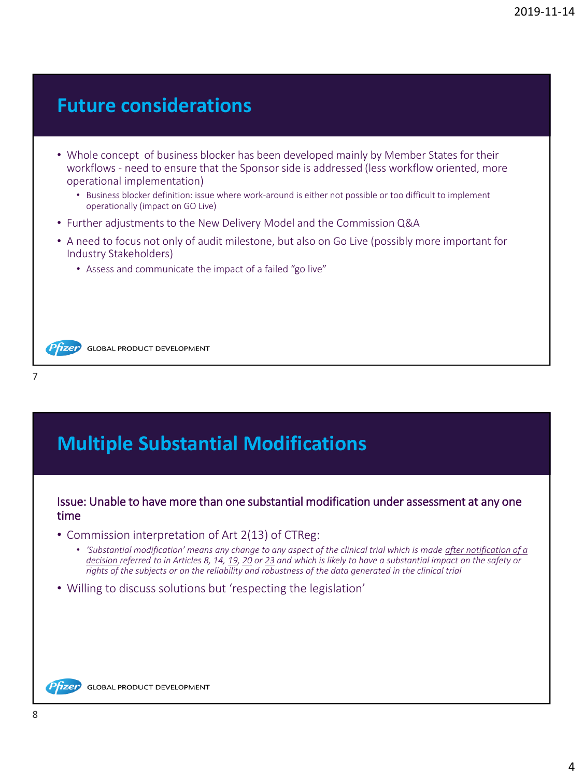### **Future considerations**

- Whole concept of business blocker has been developed mainly by Member States for their workflows - need to ensure that the Sponsor side is addressed (less workflow oriented, more operational implementation)
	- Business blocker definition: issue where work-around is either not possible or too difficult to implement operationally (impact on GO Live)
- Further adjustments to the New Delivery Model and the Commission Q&A
- A need to focus not only of audit milestone, but also on Go Live (possibly more important for Industry Stakeholders)
	- Assess and communicate the impact of a failed "go live"

Przep GLOBAL PRODUCT DEVELOPMENT

# **Multiple Substantial Modifications**

### Issue: Unable to have more than one substantial modification under assessment at any one time

- Commission interpretation of Art 2(13) of CTReg:
	- *'Substantial modification' means any change to any aspect of the clinical trial which is made after notification of a decision referred to in Articles 8, 14, 19, 20 or 23 and which is likely to have a substantial impact on the safety or rights of the subjects or on the reliability and robustness of the data generated in the clinical trial*
- Willing to discuss solutions but 'respecting the legislation'

Pfizer **GLOBAL PRODUCT DEVELOPMENT** 

7